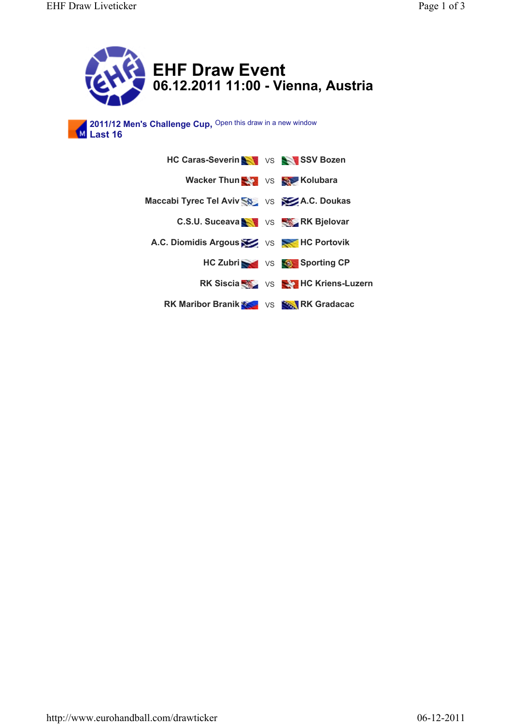

**06.12.2011 11:00 - Vienna, Austria**

**2011/12 Men's Challenge Cup, Last 16** Open this draw in a new window

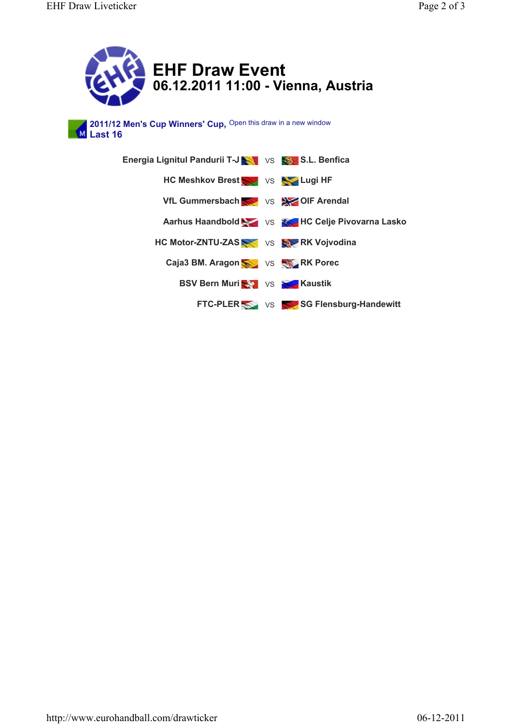



2011/12 Men's Cup Winners' Cup, Open this draw in a new window **M** Last 16